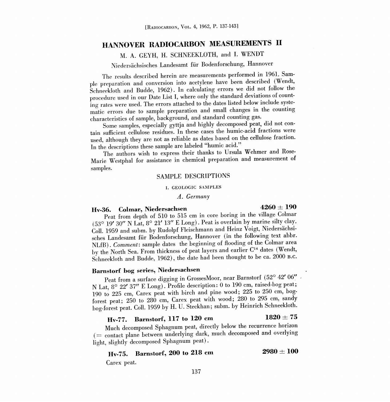# HANNOVER RADIOCARBON MEASUREMENTS II

M. A. GEYH, H. SCHNEEKLOTH, and I. WENDT

Niedersachsisches Landesamt fur Bodenforschung, Hannover

The results described herein are measurements performed in 1961. Sample preparation and conversion into acetylene have been described (Wendt, Schneekloth and Budde, 1962). In calculating errors we did not follow the procedure used in our Date List I, where only the standard deviations of counting rates were used. The errors attached to the dates listed below include systematic errors due to sample preparation and small changes in the counting characteristics of sample, background, and standard counting gas.

Some samples, especially gyttja and highly decomposed peat, did not con tain sufficient cellulose residues. In these cases the humic-acid fractions were used, although they are not as reliable as dates based on the cellulose fraction. In the descriptions these sample are labeled "humic acid."

The authors wish to express their thanks to Ursula Wehmer and Rose-Marie Westphal for assistance in chemical preparation and measurement of samples.

### SAMPLE DESCRIPTIONS

#### I. GEOLOGIC SAMPLES

#### A. Germany

# Hv-36. Colmar, Niedersachsen  $4260 \pm 190$

Peat from depth of 510 to 515 cm in core boring in the village Colmar (53° 19' 30" N Lat, 8° 21' 13" E Long). Peat is overlain by marine silty clay. Coll. 1959 and subm. by Rudolpf Fleischmann and Heinz Voigt, Niedersachsisches Landesamt für Bodenforschung, Hannover (in the following text abbr. NLfB). Comment: sample dates the beginning of flooding of the Colmar area by the North Sea. From thickness of peat layers and earlier C'4 dates (Wendt, Schneekloth and Budde, 1962), the date had been thought to be ca. 2000 B.C.

# Barnstorf bog series, Niedersachsen

Peat from a surface digging in GrossesMoor, near Barnstorf (52° 42' 06" <sup>N</sup>Lat, 8° 22' 37" E Long). Profile description: 0 to 190 cm, raised-bog peat; 190 to 225 cm, Carex peat with birch and pine wood; 225 to 250 cm, bogforest peat; 250 to 280 cm, Carex peat with wood; 280 to 295 cm, sandy bog-forest peat. Coil. 1959 by H. U. Steckhan; subm. by Heinrich Schneekloth.

# Hv-77. Barnstorf, 117 to 120 cm  $1820 \pm 75$

Much decomposed Sphagnum peat, directly below the recurrence horizon (= contact plane between underlying dark, much decomposed and overlying light, slightly decomposed Sphagnum peat).

Hy-75. Barnstorf, 200 to 218 cm 2980  $\pm$  100

Carex peat.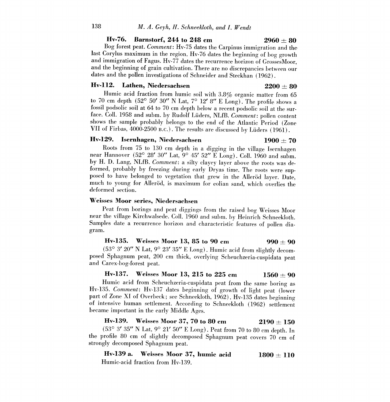### Hv-76. Barnstorf, 244 to 248 cm  $2960 \pm 80$

Bog forest peat. Comment: Hv-75 dates the Carpinus immigration and the last Corylus maximum in the region. Hv-76 dates the beginning of bog growth and immigration of Fagus. Hv-77 dates the recurrence horizon of GrossesMoor. and the beginning of grain cultivation. There are no discrepancies between our dates and the pollen investigations of Schneider and Steckhan (1962).

# Hv-112. Lathen, Niedersachsen  $2200 \pm 80$

Humic acid fraction from humic soil with 3.8% organic matter from 65 to 70 cm depth  $(52^{\circ} 50' 30'' N \text{ Lat}, 7^{\circ} 12' 8'' \text{ E Long})$ . The profile shows a fossil podsolic soil at 64 to 70 cm depth below a recent podsolic soil at the surface. Coll. 1958 and subm. by Rudolf Lüders, NLfB. Comment: pollen content shows the sample probably belongs to the end of the Atlantic Period (Zone VII of Firbas, 4000-2500 B.C.). The results are discussed by Lüders (1961).

### Hv-129. Isernhagen, Niedersachsen 1900  $+ 70$

Roots from 75 to 130 cm depth in a digging in the village Isernhagen near Hannover (52° 28' 30" Lat, 9° 45' 52" E Long). Coll. 1960 and subm. by H. D. Lang, NLfB. Comment: a silty clayey layer above the roots was deformed, probably by freezing during early Dryas time. The roots were sup-<br>posed to have belonged to vegetation that grew in the Allerod layer. Date, much to young for Alleröd, is maximum for eolian sand, which overlies the deformed section.

# Weisses Moor series, Niedersachsen

Peat from borings and peat diggings from the raised bog Weisses Moor near the village Kirchwalsede. Coll. 1960 and subm. by Heinrich Schneekloth. Samples date a recurrence horizon and characteristic features of pollen diagram.

### Hv-135. Weisses Moor 13, 85 to 90 cm 990 + 90

(53° 3' 20" N Lat, 9° 23' 35" E Long). Humic acid from slightly decomposed Sphagnum peat, 200 cm thick, overlying Scheuchzeria-cuspidata peat and Carex-bog-forest peat.

**Hv-137.** Weisses Moor 13, 215 to 225 cm  $1560 \pm 90$ <br>Humic acid from Scheuchzeria-cuspidata peat from the same boring as Hv-135. Comment: Hv-137 dates beginning of growth of light peat (lower part of Zone XI of Overbeck; see Schneekloth, 1962). Hv-135 dates beginning of intensive human settlement. According to Schneekloth (1962) settlement became important in the early Middle Ages.

# Hv-139. Weisses Moor 37, 70 to 80 cm  $2190 \pm 150$

(53° 3' 35" N Lat, 9° 21' 50" E Long). Peat from 70 to 80 cm depth. In the profile 80 cm of slightly decomposed Sphagnum peat covers 70 cm of strongly decomposed Sphagnum peat.

Hv-139 a. Weisses Moor 37, humic acid  $1800 \pm 110$ Humic-acid fraction from Hv-139.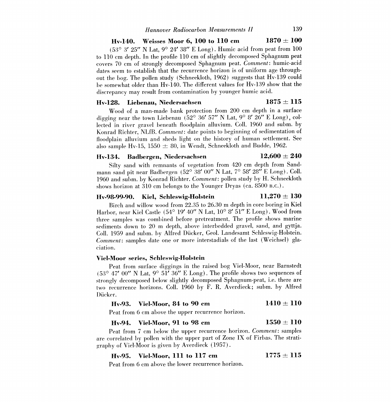# Hv-140. Weisses Moor 6, 100 to 110 cm  $1870 \pm 100$

 $(53^{\circ}$  3' 25" N Lat, 9° 24' 38" E Long). Humic acid from peat from 100 to 110 cm depth. In the profile 110 cm of slightly decomposed Sphagnum peat covers 70 cm of strongly decomposed Sphagnum peat. Comment: humic-acid dates seem to establish that the recurrence horizon is of uniform age throughout the bog. The pollen study (Schneekloth, 1962) suggests that Hv-139 could be somewhat older than Hv-140. The different values for Hv-139 show that the discrepancy may result from contamination by younger humic acid.

# Hv-128. Liebenau, Niedersachsen  $1875 \pm 115$

Wood of a man-made bank protection from 200 cm depth in a surface digging near the town Liebenau ( $52^{\circ}$  36' 57" N Lat,  $9^{\circ}$  8' 26" E Long), collected in river gravel beneath floodplain alluvium. Coll. 1960 and subm. by Konrad Richter, NLfB. Comment: date points to beginning of sedimentation of floodplain alluvium and sheds light on the history of human settlement. See also sample Hv-15, 1550  $\pm$  80, in Wendt, Schneekloth and Budde, 1962.

# Hv-134. Badbergen, Niedersachsen  $12{,}600 \pm 240$

Silty sand with remnants of vegetation from 420 cm depth from Sandmann sand pit near Badbergen (52° 38' 00" N Lat, 7° 58' 28" E Long). Coll. 1960 and subm. by Konrad Richter. Comment: pollen study by H. Schneekloth shows horizon at 310 cm belongs to the Younger Dryas (ca. 8500 B.C.).

# Hv-98-99-90. Kiel, Schleswig-Holstein  $11,270 \pm 130$

Birch and willow wood from 22.35 to 26.30 m depth in core boring in Kiel Harbor, near Kiel Castle (54° 19' 40" N Lat, 10° 8' 51" E Long). Wood from three samples was combined before pretreatment. The profile shows marine sediments down to 20 m depth, above interbedded gravel, sand, and gyttja. Coll. 1959 and subm. by Alfred Ducker, Geol. Landesamt Schleswig-Holstein. Comment: samples date one or more interstadials of the last (Weichsel) glaciation.

### Viel-Moor series, Sehleswig-Holstein

Peat from surface diggings in the raised bog Viel-Moor, near Barnstedt  $(53^{\circ}$  47' 00" N Lat, 9° 51' 36" E Long). The profile shows two sequences of strongly decomposed below slightly decomposed Sphagnum-peat, i.e. there are two recurrence horizons. Coll. 1960 by F. R. Averdieck; subm. by Alfred Dücker.

#### Hv-93. Viel-Moor, 84 to 90 em  $1410 \pm 110$

Peat from 6 cm above the upper recurrence horizon.

# Hv-94. Viel-Moor, 91 to 98 cm  $1550 \pm 110$

Peat from 7 cm below the upper recurrence horizon. Comment: samples are correlated by pollen with the upper part of Zone IX of Firbas. The stratigraphy of Viel-Moor is given by Averdieck (1957).

# Hv-95. Viel-Moor, 111 to 117 cm  $1775 \pm 115$

Peat from 6 cm above the lower recurrence horizon.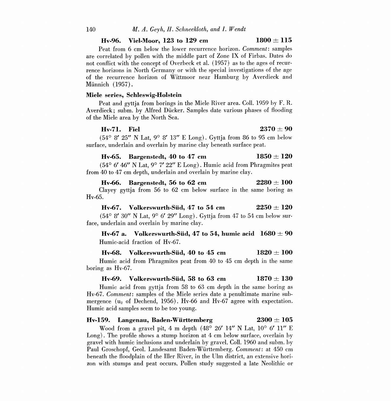# Hv-96. Viel-Moor, 123 to 129 cm  $1800 \pm 115$

Peat from 6 cm below the lower recurrence horizon. Comment: samples are correlated by pollen with the middle part of Zone IX of Firbas. Dates do not conflict with the concept of Overbeck et al. (1957) as to the ages of recurrence horizons in North Germany or with the special investigations of the age of the recurrence horizon of Wittmoor near Hamburg by Averdieck and Münnich (1957).

### Miele series, Sehleswig-Holstein

Peat and gyttja from borings in the Miele River area. Coll. 1959 by F. R. Averdieck; subm. by Alfred Dücker. Samples date various phases of flooding of the Miele area by the North Sea.

# Hv-71. Fiel  $2370 \pm 90$

(54° 8' 25" N Lat, 9° 8' 13" E Long). Gyttja from 86 to 95 cm below surface, underlain and overlain by marine clay beneath surface peat.

# Hv-65. Bargenstedt, 40 to 47 cm  $1850 \pm 120$

 $(54^{\circ}$  6' 46" N Lat, 9° 7' 22" E Long). Humic acid from Phragmites peat from 40 to 47 em depth, underlain and overlain by marine clay.

# Hv-66. Bargenstedt, 56 to 62 cm  $2280 \pm 100$ Clayey gyttja from 56 to 62 cm below surface in the same boring as Hy-65.

# Hv-67. Volkerswurth-Süd, 47 to 54 cm  $2250 \pm 120$

(54° 8' 30" N Lat, 9° 6' 29" Long). Gyttja from 47 to 54 cm below sur-<br>face, underlain and overlain by marine clay.

Hv-67 a. Volkerswurth-Süd, 47 to 54, humic acid  $1680 \pm 90$ Humic-acid fraction of Hv-67.

# Hv-68. Volkerswurth-Süd, 40 to 45 cm  $1820 \pm 100$

Humic acid from Phragmites peat from 40 to 45 cm depth in the same boring as Hv-67.

# Hv-69. Volkerswurth-Süd, 58 to 63 cm  $1870 \pm 130$

Humic acid from gyttja from 58 to 63 cm depth in the same boring as Hy-67. Comment: samples of the Miele series date a penultimate marine submergence ( $u_2$  of Dechend, 1956). Hv-66 and Hv-67 agree with expectation. Humic acid samples seem to be too young.

### Hv-159. Langenau, Baden-Württemberg  $2300 \pm 105$

Wood from a gravel pit, 4 m depth (48° 26' 14" N Lat, 10° 6' 11" E Long). The profile shows a stump horizon at 4 cm below surface, overlain by gravel with humic inclusions and underlain by gravel. Coll. 1960 and subm. by Paul Groschopf, Geol. Landesamt Baden-Württemberg. Comment: at 450 cm beneath the floodplain of the Iller River, in the Ulm district, an extensive hori zon with stumps and peat occurs. Pollen study suggested a late Neolithic or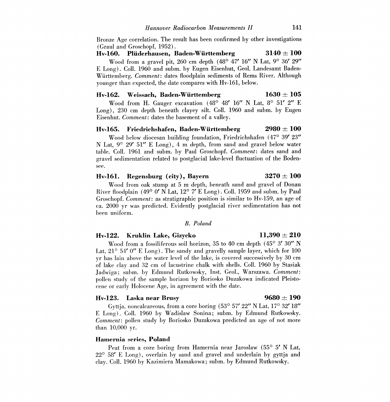Bronze Age correlation. The result has been confirmed by other investigations (Graul and Groschopf, 1952).

Hv-160. Plüderhausen, Baden-Württemberg  $3140 \pm 100$ Wood from a gravel pit, 260 cm depth (48° 47' 16" N Lat, 9° 36' 29" E Long). Coll. 1960 and subm. by Eugen Eisenhut, Geol. Landesamt Baden-Wurttemberg. Comment: dates floodplain sediments of Rems River. Although younger than expected, the date compares with Hv-161, below.

# Hv-162. Weissach, Baden-Württemberg  $1630 \pm 105$

Wood from H. Gauger excavation (48° 48' 16" N Lat, 8° 51' 2" E Long), 230 cm depth beneath clayey silt. Coll. 1960 and subm. by Eugen Eisenhut. Comment: dates the basement of a valley.

# Hv-165. Friedrichshafen, Baden-Württemberg  $2980 \pm 100$

Wood below diocesan building foundation, Friedrichshafen (47° 39' 23" N Lat,  $9^{\circ}$  29' 51" E Long), 4 m depth, from sand and gravel below water table. Coll. 1961 and subm. by Paul Groschopf. Comment: dates sand and gravel sedimentation related to postglacial lake-level fluctuation of the Boden see.

# Hv-161. Regensburg (city), Bayern  $3270 \pm 100$

Wood from oak stump at 5 m depth, beneath sand and gravel of Donau River floodplain (49° 0' N Lat, 12° 7' E Long). Coll. 1959 and subm. by Paul Groschopf. *Comment*: as stratigraphic position is similar to Hv-159, an age of ca. 2000 yr was predicted. Evidently postglacial river sedimentation has not been uniform.

# B. Poland

# Hv-122. Kruklin Lake, Gizycko  $11,390 \pm 210$

Wood from a fossiliferous soil horizon, 35 to 40 cm depth (45° 3' 30" N Lat,  $21^{\circ}$  54' 0" E Long). The sandy and gravelly sample layer, which for 100 yr has lain above the water level of the lake, is covered successively by 30 cm of lake clay and 32 cm of lacustrine chalk with shells. Coll. 1960 by Stasiak Jadwiga; subm. by Edmund Rutkowsky, Inst. Geol., Warszawa. Comment: pollen study of the sample horizon by Boriosko Duzakowa indicated Pleisto- cene or early Holocene Age, in agreement with the date.

# Hv-123. Laska near Brusy  $9680 \pm 190$

Gyttja, noncalcareous, from a core boring (53° 57' 22" N Lat,17° 32' 18" E Long). Coll. 1960 by Wadislaw Sonina; subm. by Edmund Rutkowsky. Comment: pollen study by Boriosko Duzakowa predicted an age of not more than 10,000 yr.

### Hamernia series, Poland

Peat from a core boring from Hamernia near Jaroslaw (55° 5' N Lat, 22° 58' E Long), overlain by sand and gravel and underlain by gyttja and clay. Coll. 1960 by Kazimiera Mamakowa; subm. by Edmund Rutkowsky.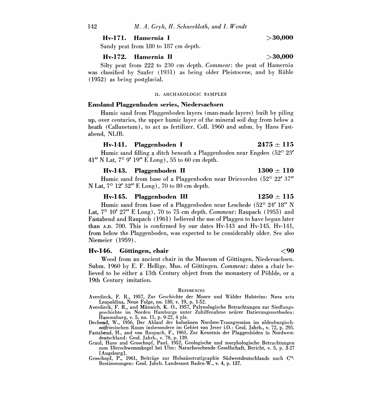Hv-171. Hamernia I  $>30,000$ 

Sandy peat from 180 to 187 cm depth.

### Hv-172. Hamernia II  $>30,000$

Silty peat from 222 to 230 cm depth. Comment: the peat of Hamernia was classified by Szafer (1931) as being older Pleistocene, and by Rühle (1952) as being postglacial.

### II. ARCHAEOLOGIC SAMPLES

# Emsland Plaggenboden series, Niedersachsen

Humic sand from Plaggenboden layers (man-made layers) built by piling up, over centuries, the upper humic layer of the mineral soil dug from below a heath (Callunetum), to act as fertilizer. Coll. 1960 and subm. by Hans Fastabend, NLfB.

# Hv-141. Plaggenboden I  $2475 \pm 115$

Humic sand filling a ditch beneath a Plaggenboden near Engden (52° 23' 41" N Lat, 7° 9' 19" E Long), 55 to 60 cm depth.

# Hv-143. Plaggenboden II  $1300 \pm 110$

Humic sand from base of a Plaggenboden near Drievorden (52° 22' 37" N Lat, 7° 12' 32" E Long), 70 to 80 cm depth.

### Hv-145. Plaggenboden III  $1250 \pm 115$

Humic sand from base of a Plaggenboden near Leschede (52° 24' 18" N Lat,  $7^{\circ}$  10' 27" E Long),  $70$  to  $75$  cm depth. *Comment*: Raupach (1955) and Fastabend and Raupach (1961) believed the use of Plaggen to have begun later than A.D. 700. This is confirmed by our dates Hv-143 and Hv-145. Hv-141, from below the Plaggenboden, was expected to be considerably older. See also Niemeier (1959).

# Hv-146. Göttingen, chair the control of the control of  $\langle 90$

Wood from an ancient chair in the Museum of Göttingen, Niedersachsen. Subm. 1960 by E. F. Hellige, Mus. of Göttingen. *Comment*: dates a chair believed to be either a 13th Century object from the monastery of Pohlde, or a 19th Century imitation.

#### **REFERENCES**

Averdieck, F. R., 1957, Zur Geschichte der Moore and Walder Holsteins: Nova acta Leopoldina, Neue Folge, no. 130, v. 19, p. 1-52.

Averdieck, F. R., and Miinnich, K. 0., 1957, Palynologische Betrachtungen zur Siedlungsgeschichte im Norden Hamburgs unter Zuhilfenahme neiirer Datierungsmethoden: Hammaburg, v. 5, no. 11, p. 9-22, 4 pls.

Dechend, W., 1956, Der Ablauf der holozanen Nordsee-Transgression im oldenburgischostfriesischen Raum insbesondere im Gebiet von Jever i.0.: Geol. Jahrb., v. 72, p. 295.

Fastabend, H., and von Raupach, F., 1961, Zur Kenntnis der Plaggenböden in Nordwest-<br>deutschland: Geol. Jahrb., v. 78, p. 139.<br>Graul, Hans and Groschopf, Paul, 1952, Geologische und morphologische Betrachtungen<br>zum Illersc

[Augsburg].

Groschopf, P., 1961, Beiträge zur Holozänstratigraphie Südwestdeutschlands nach C<sup>14</sup>-<br>Bestimmungen: Geol. Jahrb. Landesamt Baden-W., v. 4, p. 137.